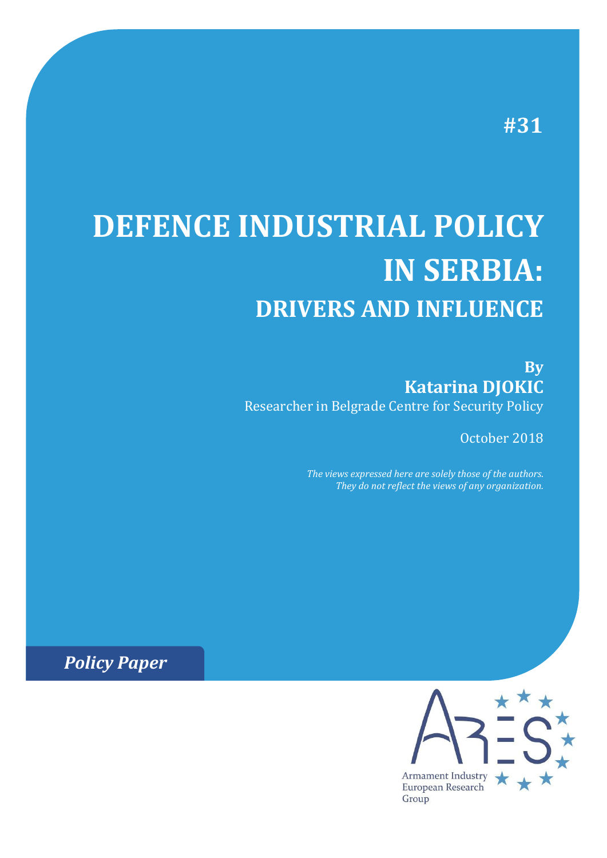# **#31**

# **DEFENCE INDUSTRIAL POLICY IN SERBIA: DRIVERS AND INFLUENCE**

**By Katarina DJOKIC** Researcher in Belgrade Centre for Security Policy

October 2018

*The views expressed here are solely those of the authors. They do not reflect the views of any organization.*

*Policy Paper*

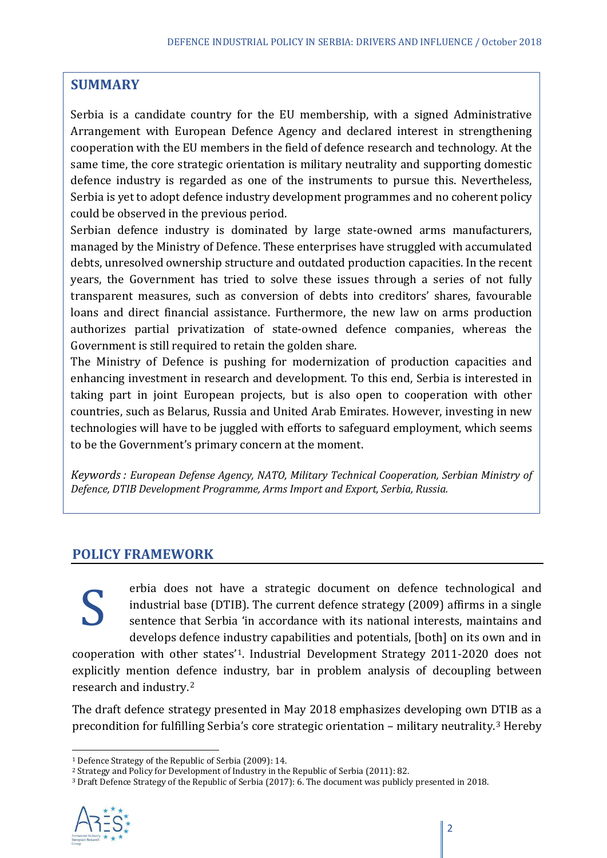# **SUMMARY**

Serbia is a candidate country for the EU membership, with a signed Administrative Arrangement with European Defence Agency and declared interest in strengthening cooperation with the EU members in the field of defence research and technology. At the same time, the core strategic orientation is military neutrality and supporting domestic defence industry is regarded as one of the instruments to pursue this. Nevertheless, Serbia is yet to adopt defence industry development programmes and no coherent policy could be observed in the previous period.

Serbian defence industry is dominated by large state-owned arms manufacturers, managed by the Ministry of Defence. These enterprises have struggled with accumulated debts, unresolved ownership structure and outdated production capacities. In the recent years, the Government has tried to solve these issues through a series of not fully transparent measures, such as conversion of debts into creditors' shares, favourable loans and direct financial assistance. Furthermore, the new law on arms production authorizes partial privatization of state-owned defence companies, whereas the Government is still required to retain the golden share.

The Ministry of Defence is pushing for modernization of production capacities and enhancing investment in research and development. To this end, Serbia is interested in taking part in joint European projects, but is also open to cooperation with other countries, such as Belarus, Russia and United Arab Emirates. However, investing in new technologies will have to be juggled with efforts to safeguard employment, which seems to be the Government's primary concern at the moment.

*Keywords : European Defense Agency, NATO, Military Technical Cooperation, Serbian Ministry of Defence, DTIB Development Programme, Arms Import and Export, Serbia, Russia.*

# **POLICY FRAMEWORK**

erbia does not have a strategic document on defence technological and industrial base (DTIB). The current defence strategy (2009) affirms in a single sentence that Serbia ʻin accordance with its national interests, maintains and develops defence industry capabilities and potentials, [both] on its own and in

cooperation with other states'[1](#page-1-0). Industrial Development Strategy 2011-2020 does not explicitly mention defence industry, bar in problem analysis of decoupling between research and industry.[2](#page-1-1) S

The draft defence strategy presented in May 2018 emphasizes developing own DTIB as a precondition for fulfilling Serbia's core strategic orientation – military neutrality.[3](#page-1-2) Hereby

<span id="page-1-2"></span><span id="page-1-1"></span><sup>3</sup> Draft Defence Strategy of the Republic of Serbia (2017): 6. The document was publicly presented in 2018.



<span id="page-1-0"></span> <sup>1</sup> Defence Strategy of the Republic of Serbia (2009): 14.

<sup>2</sup> Strategy and Policy for Development of Industry in the Republic of Serbia (2011): 82.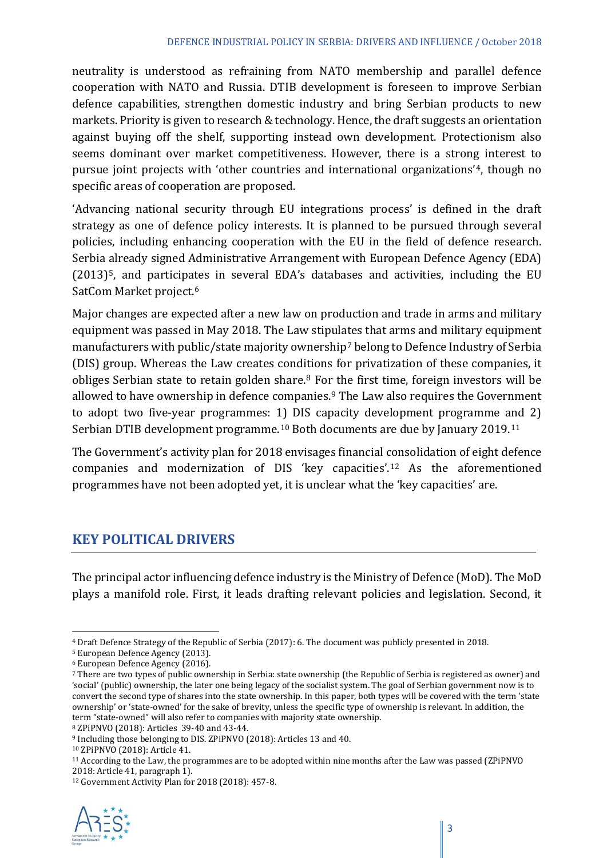neutrality is understood as refraining from NATO membership and parallel defence cooperation with NATO and Russia. DTIB development is foreseen to improve Serbian defence capabilities, strengthen domestic industry and bring Serbian products to new markets. Priority is given to research & technology. Hence, the draft suggests an orientation against buying off the shelf, supporting instead own development. Protectionism also seems dominant over market competitiveness. However, there is a strong interest to pursue joint projects with ʻother countries and international organizations'[4,](#page-2-0) though no specific areas of cooperation are proposed.

ʻAdvancing national security through EU integrations process' is defined in the draft strategy as one of defence policy interests. It is planned to be pursued through several policies, including enhancing cooperation with the EU in the field of defence research. Serbia already signed Administrative Arrangement with European Defence Agency (EDA) (2013)<sup>5</sup>, and participates in several EDA's databases and activities, including the EU SatCom Market project.[6](#page-2-2)

Major changes are expected after a new law on production and trade in arms and military equipment was passed in May 2018. The Law stipulates that arms and military equipment manufacturers with public/state majority ownership<sup>[7](#page-2-3)</sup> belong to Defence Industry of Serbia (DIS) group. Whereas the Law creates conditions for privatization of these companies, it obliges Serbian state to retain golden share.<sup>[8](#page-2-4)</sup> For the first time, foreign investors will be allowed to have ownership in defence companies.<sup>[9](#page-2-5)</sup> The Law also requires the Government to adopt two five-year programmes: 1) DIS capacity development programme and 2) Serbian DTIB development programme.<sup>[10](#page-2-6)</sup> Both documents are due by January 2019.<sup>[11](#page-2-7)</sup>

The Government's activity plan for 2018 envisages financial consolidation of eight defence companies and modernization of DIS ʻkey capacities'. [12](#page-2-8) As the aforementioned programmes have not been adopted yet, it is unclear what the ʻkey capacities' are.

# **KEY POLITICAL DRIVERS**

The principal actor influencing defence industry is the Ministry of Defence (MoD). The MoD plays a manifold role. First, it leads drafting relevant policies and legislation. Second, it

<span id="page-2-8"></span><span id="page-2-7"></span><sup>&</sup>lt;sup>12</sup> Government Activity Plan for 2018 (2018): 457-8.



<span id="page-2-1"></span><span id="page-2-0"></span> <sup>4</sup> Draft Defence Strategy of the Republic of Serbia (2017): 6. The document was publicly presented in 2018.

<span id="page-2-2"></span><sup>5</sup> European Defence Agency (2013).

<sup>6</sup> European Defence Agency (2016).

<span id="page-2-3"></span><sup>7</sup> There are two types of public ownership in Serbia: state ownership (the Republic of Serbia is registered as owner) and ʻsocial' (public) ownership, the later one being legacy of the socialist system. The goal of Serbian government now is to convert the second type of shares into the state ownership. In this paper, both types will be covered with the term ʻstate ownership' or ʻstate-owned' for the sake of brevity, unless the specific type of ownership is relevant. In addition, the term "state-owned" will also refer to companies with majority state ownership.

<span id="page-2-4"></span><sup>8</sup> ZPiPNVO (2018): Articles 39-40 and 43-44.

<span id="page-2-6"></span><span id="page-2-5"></span><sup>9</sup> Including those belonging to DIS. ZPiPNVO (2018): Articles 13 and 40.

<sup>10</sup> ZPiPNVO (2018): Article 41.

<sup>&</sup>lt;sup>11</sup> According to the Law, the programmes are to be adopted within nine months after the Law was passed (ZPiPNVO 2018: Article 41, paragraph 1).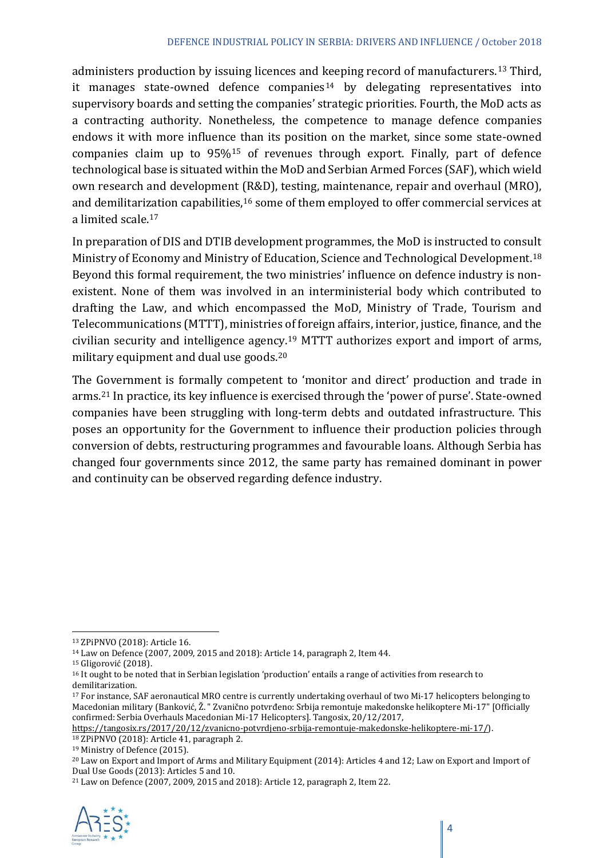administers production by issuing licences and keeping record of manufacturers.[13](#page-3-0) Third, it manages state-owned defence companies<sup>[14](#page-3-1)</sup> by delegating representatives into supervisory boards and setting the companies' strategic priorities. Fourth, the MoD acts as a contracting authority. Nonetheless, the competence to manage defence companies endows it with more influence than its position on the market, since some state-owned companies claim up to 95%[15](#page-3-2) of revenues through export. Finally, part of defence technological base is situated within the MoD and Serbian Armed Forces (SAF), which wield own research and development (R&D), testing, maintenance, repair and overhaul (MRO), and demilitarization capabilities,<sup>[16](#page-3-3)</sup> some of them employed to offer commercial services at a limited scale.[17](#page-3-4)

In preparation of DIS and DTIB development programmes, the MoD is instructed to consult Ministry of Economy and Ministry of Education, Science and Technological Development.<sup>[18](#page-3-5)</sup> Beyond this formal requirement, the two ministries' influence on defence industry is nonexistent. None of them was involved in an interministerial body which contributed to drafting the Law, and which encompassed the MoD, Ministry of Trade, Tourism and Telecommunications (MTTT), ministries of foreign affairs, interior, justice, finance, and the civilian security and intelligence agency.[19](#page-3-6) MTTT authorizes export and import of arms, military equipment and dual use goods.[20](#page-3-7)

The Government is formally competent to ʻmonitor and direct' production and trade in arms.[21](#page-3-8) In practice, its key influence is exercised through the ʻpower of purse'. State-owned companies have been struggling with long-term debts and outdated infrastructure. This poses an opportunity for the Government to influence their production policies through conversion of debts, restructuring programmes and favourable loans. Although Serbia has changed four governments since 2012, the same party has remained dominant in power and continuity can be observed regarding defence industry.

<span id="page-3-8"></span><sup>21</sup> Law on Defence (2007, 2009, 2015 and 2018): Article 12, paragraph 2, Item 22.



<span id="page-3-0"></span> <sup>13</sup> ZPiPNVO (2018): Article 16.

<span id="page-3-2"></span><span id="page-3-1"></span><sup>14</sup> Law on Defence (2007, 2009, 2015 and 2018): Article 14, paragraph 2, Item 44.

<sup>15</sup> Gligorović (2018).

<span id="page-3-3"></span><sup>&</sup>lt;sup>16</sup> It ought to be noted that in Serbian legislation 'production' entails a range of activities from research to demilitarization.

<span id="page-3-4"></span><sup>17</sup> For instance, SAF aeronautical MRO centre is currently undertaking overhaul of two Mi-17 helicopters belonging to Macedonian military (Banković, Ž. " Zvanično potvrđeno: Srbija remontuje makedonske helikoptere Mi-17" [Officially confirmed: Serbia Overhauls Macedonian Mi-17 Helicopters]. Tangosix, 20/12/2017,

<span id="page-3-5"></span>[https://tangosix.rs/2017/20/12/zvanicno-potvrdjeno-srbija-remontuje-makedonske-helikoptere-mi-17/\)](https://tangosix.rs/2017/20/12/zvanicno-potvrdjeno-srbija-remontuje-makedonske-helikoptere-mi-17/).

<sup>18</sup> ZPiPNVO (2018): Article 41, paragraph 2.

<span id="page-3-6"></span><sup>19</sup> Ministry of Defence (2015).

<span id="page-3-7"></span><sup>20</sup> Law on Export and Import of Arms and Military Equipment (2014): Articles 4 and 12; Law on Export and Import of Dual Use Goods (2013): Articles 5 and 10.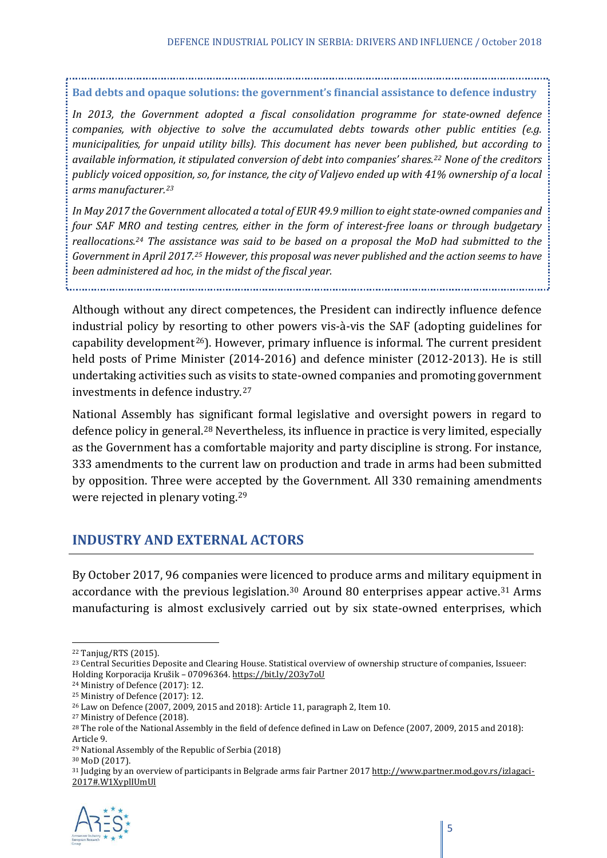## **Bad debts and opaque solutions: the government's financial assistance to defence industry**

*In 2013, the Government adopted a fiscal consolidation programme for state-owned defence companies, with objective to solve the accumulated debts towards other public entities (e.g. municipalities, for unpaid utility bills). This document has never been published, but according to available information, it stipulated conversion of debt into companies' shares.[22](#page-4-0) None of the creditors publicly voiced opposition, so, for instance, the city of Valjevo ended up with 41% ownership of a local arms manufacturer.[23](#page-4-1)*

*In May 2017 the Government allocated a total of EUR 49.9 million to eight state-owned companies and four SAF MRO and testing centres, either in the form of interest-free loans or through budgetary reallocations[.24](#page-4-2) The assistance was said to be based on a proposal the MoD had submitted to the Government in April 2017.[25](#page-4-3) However, this proposal was never published and the action seems to have been administered ad hoc, in the midst of the fiscal year.* 

Although without any direct competences, the President can indirectly influence defence industrial policy by resorting to other powers vis-à-vis the SAF (adopting guidelines for capability development<sup>26</sup>). However, primary influence is informal. The current president held posts of Prime Minister (2014-2016) and defence minister (2012-2013). He is still undertaking activities such as visits to state-owned companies and promoting government investments in defence industry.[27](#page-4-5)

National Assembly has significant formal legislative and oversight powers in regard to defence policy in general.[28](#page-4-6) Nevertheless, its influence in practice is very limited, especially as the Government has a comfortable majority and party discipline is strong. For instance, 333 amendments to the current law on production and trade in arms had been submitted by opposition. Three were accepted by the Government. All 330 remaining amendments were rejected in plenary voting.[29](#page-4-7)

# **INDUSTRY AND EXTERNAL ACTORS**

By October 2017, 96 companies were licenced to produce arms and military equipment in accordance with the previous legislation.<sup>[30](#page-4-8)</sup> Around 80 enterprises appear active.<sup>[31](#page-4-9)</sup> Arms manufacturing is almost exclusively carried out by six state-owned enterprises, which

<span id="page-4-9"></span><span id="page-4-8"></span><span id="page-4-7"></span><sup>&</sup>lt;sup>31</sup> Judging by an overview of participants in Belgrade arms fair Partner 201[7 http://www.partner.mod.gov.rs/izlagaci-](http://www.partner.mod.gov.rs/izlagaci-2017#.W1XyplIUmUl)[2017#.W1XyplIUmUl](http://www.partner.mod.gov.rs/izlagaci-2017#.W1XyplIUmUl)



<span id="page-4-0"></span> <sup>22</sup> Tanjug/RTS (2015).

<span id="page-4-1"></span><sup>&</sup>lt;sup>23</sup> Central Securities Deposite and Clearing House. Statistical overview of ownership structure of companies, Issueer: Holding Korporacija Krušik – 07096364[. https://bit.ly/2O3y7oU](https://bit.ly/2O3y7oU)

<span id="page-4-2"></span><sup>24</sup> Ministry of Defence (2017): 12.

<span id="page-4-3"></span><sup>25</sup> Ministry of Defence (2017): 12.

<span id="page-4-4"></span><sup>26</sup> Law on Defence (2007, 2009, 2015 and 2018): Article 11, paragraph 2, Item 10.

<span id="page-4-5"></span><sup>27</sup> Ministry of Defence (2018).

<span id="page-4-6"></span><sup>&</sup>lt;sup>28</sup> The role of the National Assembly in the field of defence defined in Law on Defence (2007, 2009, 2015 and 2018): Article 9.

<sup>29</sup> National Assembly of the Republic of Serbia (2018)

<sup>30</sup> MoD (2017).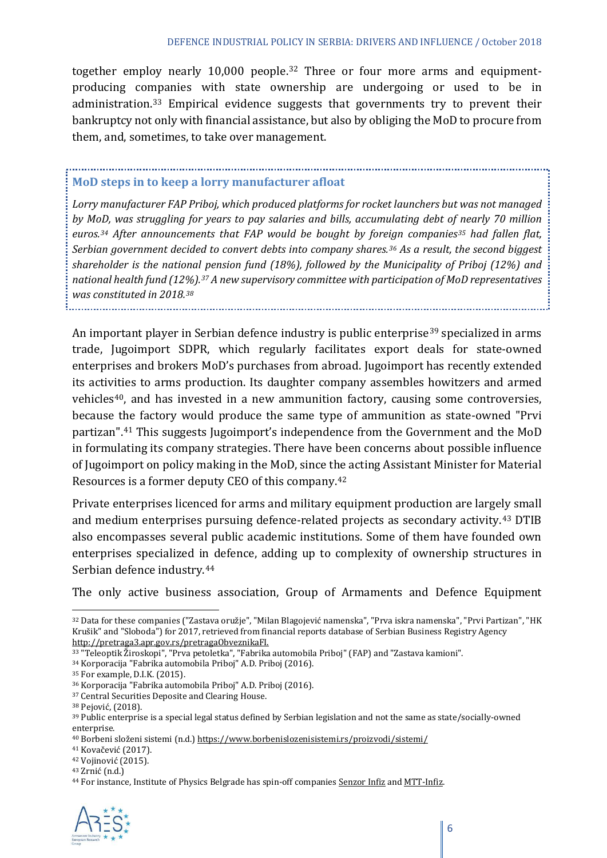together employ nearly 10,000 people.[32](#page-5-0) Three or four more arms and equipmentproducing companies with state ownership are undergoing or used to be in administration.[33](#page-5-1) Empirical evidence suggests that governments try to prevent their bankruptcy not only with financial assistance, but also by obliging the MoD to procure from them, and, sometimes, to take over management.

#### **MoD steps in to keep a lorry manufacturer afloat**

*Lorry manufacturer FAP Priboj, which produced platforms for rocket launchers but was not managed by MoD, was struggling for years to pay salaries and bills, accumulating debt of nearly 70 million euros.[34](#page-5-2) After announcements that FAP would be bought by foreign companies[35](#page-5-3) had fallen flat, Serbian government decided to convert debts into company shares.[36](#page-5-4) As a result, the second biggest shareholder is the national pension fund (18%), followed by the Municipality of Priboj (12%) and national health fund (12%).[37](#page-5-5) A new supervisory committee with participation of MoD representatives was constituted in 2018.[38](#page-5-6)* 

An important player in Serbian defence industry is public enterprise<sup>[39](#page-5-7)</sup> specialized in arms trade, Jugoimport SDPR, which regularly facilitates export deals for state-owned enterprises and brokers MoD's purchases from abroad. Jugoimport has recently extended its activities to arms production. Its daughter company assembles howitzers and armed vehicles<sup>40</sup>, and has invested in a new ammunition factory, causing some controversies, because the factory would produce the same type of ammunition as state-owned "Prvi partizan". [41](#page-5-9) This suggests Jugoimport's independence from the Government and the MoD in formulating its company strategies. There have been concerns about possible influence of Jugoimport on policy making in the MoD, since the acting Assistant Minister for Material Resources is a former deputy CEO of this company.[42](#page-5-10)

Private enterprises licenced for arms and military equipment production are largely small and medium enterprises pursuing defence-related projects as secondary activity.[43](#page-5-11) DTIB also encompasses several public academic institutions. Some of them have founded own enterprises specialized in defence, adding up to complexity of ownership structures in Serbian defence industry.[44](#page-5-12)

The only active business association, Group of Armaments and Defence Equipment

<span id="page-5-12"></span><span id="page-5-11"></span><span id="page-5-10"></span><sup>44</sup> For instance, Institute of Physics Belgrade has spin-off companie[s Senzor Infiz](http://www.senzor-infiz.com/) an[d MTT-Infiz.](http://www.mtt-infiz.com/e_index.html)



<span id="page-5-0"></span> <sup>32</sup> Data for these companies ("Zastava oružje", "Milan Blagojević namenska", "Prva iskra namenska", "Prvi Partizan", "HK Krušik" and "Sloboda") for 2017, retrieved from financial reports database of Serbian Business Registry Agency [http://pretraga3.apr.gov.rs/pretragaObveznikaFI.](http://pretraga3.apr.gov.rs/pretragaObveznikaFI)

<span id="page-5-1"></span><sup>33</sup> "Teleoptik Žiroskopi", "Prva petoletka", "Fabrika automobila Priboj" (FAP) and "Zastava kamioni".

<span id="page-5-2"></span><sup>34</sup> Korporacija "Fabrika automobila Priboj" A.D. Priboj (2016).

<span id="page-5-4"></span><span id="page-5-3"></span><sup>&</sup>lt;sup>35</sup> For example, D.I.K. (2015).<br><sup>36</sup> Korporacija "Fabrika automobila Priboj" A.D. Priboj (2016).

<span id="page-5-6"></span><span id="page-5-5"></span> $^{37}$  Central Securities Deposite and Clearing House.  $^{38}$  Pejović, (2018).

<span id="page-5-7"></span><sup>&</sup>lt;sup>39</sup> Public enterprise is a special legal status defined by Serbian legislation and not the same as state/socially-owned enterprise.

<span id="page-5-8"></span><sup>40</sup> Borbeni složeni sistemi (n.d.) <https://www.borbenislozenisistemi.rs/proizvodi/sistemi/>

<span id="page-5-9"></span><sup>41</sup> Kovačević (2017).

<sup>42</sup> Vojinović (2015).

<sup>43</sup> Zrnić (n.d.)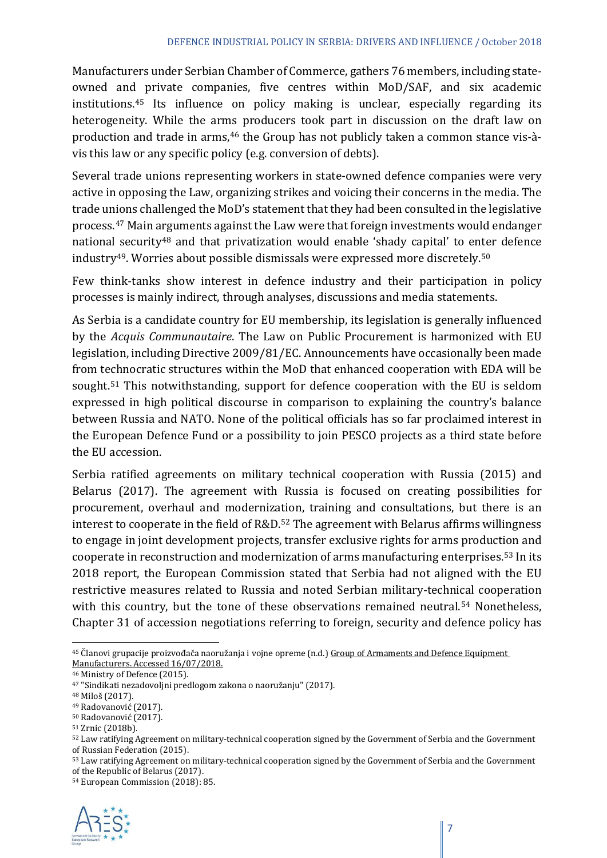Manufacturers under Serbian Chamber of Commerce, gathers 76 members, including stateowned and private companies, five centres within MoD/SAF, and six academic institutions.[45](#page-6-0) Its influence on policy making is unclear, especially regarding its heterogeneity. While the arms producers took part in discussion on the draft law on production and trade in arms,<sup>[46](#page-6-1)</sup> the Group has not publicly taken a common stance vis-àvis this law or any specific policy (e.g. conversion of debts).

Several trade unions representing workers in state-owned defence companies were very active in opposing the Law, organizing strikes and voicing their concerns in the media. The trade unions challenged the MoD's statement that they had been consulted in the legislative process.[47](#page-6-2) Main arguments against the Law were that foreign investments would endanger national security<sup>[48](#page-6-3)</sup> and that privatization would enable 'shady capital' to enter defence industry[49.](#page-6-4) Worries about possible dismissals were expressed more discretely.[50](#page-6-5)

Few think-tanks show interest in defence industry and their participation in policy processes is mainly indirect, through analyses, discussions and media statements.

As Serbia is a candidate country for EU membership, its legislation is generally influenced by the *Acquis Communautaire*. The Law on Public Procurement is harmonized with EU legislation, including Directive 2009/81/EC. Announcements have occasionally been made from technocratic structures within the MoD that enhanced cooperation with EDA will be sought.<sup>[51](#page-6-6)</sup> This notwithstanding, support for defence cooperation with the EU is seldom expressed in high political discourse in comparison to explaining the country's balance between Russia and NATO. None of the political officials has so far proclaimed interest in the European Defence Fund or a possibility to join PESCO projects as a third state before the EU accession.

Serbia ratified agreements on military technical cooperation with Russia (2015) and Belarus (2017). The agreement with Russia is focused on creating possibilities for procurement, overhaul and modernization, training and consultations, but there is an interest to cooperate in the field of R&D.<sup>[52](#page-6-7)</sup> The agreement with Belarus affirms willingness to engage in joint development projects, transfer exclusive rights for arms production and cooperate in reconstruction and modernization of arms manufacturing enterprises.[53](#page-6-8) In its 2018 report, the European Commission stated that Serbia had not aligned with the EU restrictive measures related to Russia and noted Serbian military-technical cooperation with this country, but the tone of these observations remained neutral.<sup>[54](#page-6-9)</sup> Nonetheless, Chapter 31 of accession negotiations referring to foreign, security and defence policy has

<span id="page-6-9"></span><sup>54</sup> European Commission (2018): 85.



<span id="page-6-0"></span><sup>&</sup>lt;sup>45</sup> Članovi grupacije proizvođača naoružanja i vojne opreme (n.d.) Group of Armaments and Defence Equipment [Manufacturers.](http://www.pks.rs/SADRZAJ/Files/Metalska%20i%20elektro/Gr%20Proizv%20NVO%20za%20sajt.doc) Accessed 16/07/2018.

<sup>46</sup> Ministry of Defence (2015).

<span id="page-6-2"></span><span id="page-6-1"></span><sup>47</sup> "Sindikati nezadovoljni predlogom zakona o naoružanju" (2017).

<span id="page-6-3"></span><sup>48</sup> Miloš (2017).

<span id="page-6-5"></span><span id="page-6-4"></span><sup>49</sup> Radovanović (2017).

<sup>50</sup> Radovanović (2017).

<span id="page-6-6"></span><sup>51</sup> Zrnic (2018b).

<span id="page-6-7"></span><sup>52</sup> Law ratifying Agreement on military-technical cooperation signed by the Government of Serbia and the Government of Russian Federation (2015).

<span id="page-6-8"></span><sup>53</sup> Law ratifying Agreement on military-technical cooperation signed by the Government of Serbia and the Government of the Republic of Belarus (2017).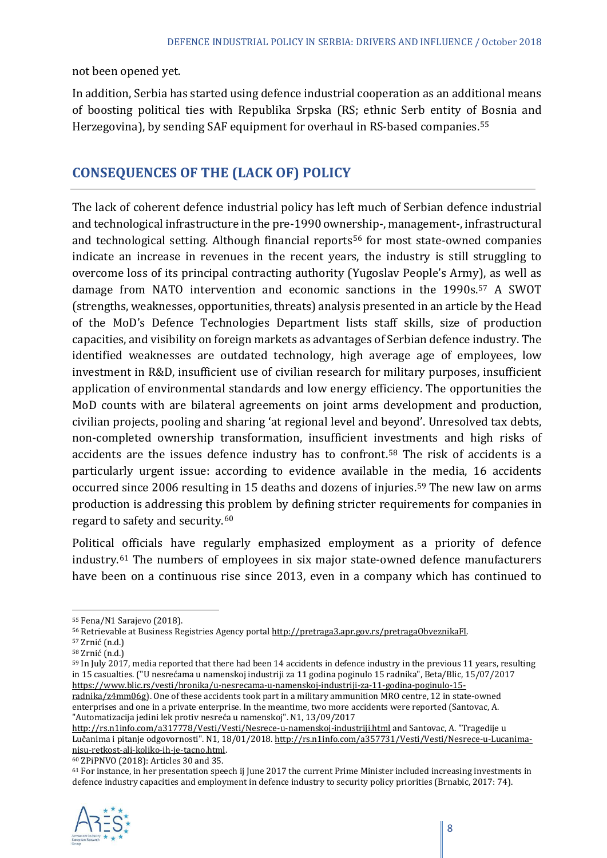not been opened yet.

In addition, Serbia has started using defence industrial cooperation as an additional means of boosting political ties with Republika Srpska (RS; ethnic Serb entity of Bosnia and Herzegovina), by sending SAF equipment for overhaul in RS-based companies.[55](#page-7-0)

# **CONSEQUENCES OF THE (LACK OF) POLICY**

The lack of coherent defence industrial policy has left much of Serbian defence industrial and technological infrastructure in the pre-1990 ownership-, management-, infrastructural and technological setting. Although financial reports<sup>[56](#page-7-1)</sup> for most state-owned companies indicate an increase in revenues in the recent years, the industry is still struggling to overcome loss of its principal contracting authority (Yugoslav People's Army), as well as damage from NATO intervention and economic sanctions in the 1990s.[57](#page-7-2) A SWOT (strengths, weaknesses, opportunities, threats) analysis presented in an article by the Head of the MoD's Defence Technologies Department lists staff skills, size of production capacities, and visibility on foreign markets as advantages of Serbian defence industry. The identified weaknesses are outdated technology, high average age of employees, low investment in R&D, insufficient use of civilian research for military purposes, insufficient application of environmental standards and low energy efficiency. The opportunities the MoD counts with are bilateral agreements on joint arms development and production, civilian projects, pooling and sharing ʻat regional level and beyond'. Unresolved tax debts, non-completed ownership transformation, insufficient investments and high risks of accidents are the issues defence industry has to confront.<sup>[58](#page-7-3)</sup> The risk of accidents is a particularly urgent issue: according to evidence available in the media, 16 accidents occurred since 2006 resulting in 15 deaths and dozens of injuries.[59](#page-7-4) The new law on arms production is addressing this problem by defining stricter requirements for companies in regard to safety and security.<sup>[60](#page-7-5)</sup>

Political officials have regularly emphasized employment as a priority of defence industry.[61](#page-7-6) The numbers of employees in six major state-owned defence manufacturers have been on a continuous rise since 2013, even in a company which has continued to

[radnika/z4mm06g\)](https://www.blic.rs/vesti/hronika/u-nesrecama-u-namenskoj-industriji-za-11-godina-poginulo-15-radnika/z4mm06g). One of these accidents took part in a military ammunition MRO centre, 12 in state-owned enterprises and one in a private enterprise. In the meantime, two more accidents were reported (Santovac, A. "Automatizacija jedini lek protiv nesreća u namenskoj". N1, 13/09/2017

60 ZPiPNVO (2018): Articles 30 and 35.

<span id="page-7-6"></span><span id="page-7-5"></span> $61$  For instance, in her presentation speech ij June 2017 the current Prime Minister included increasing investments in defence industry capacities and employment in defence industry to security policy priorities (Brnabic, 2017: 74).



<span id="page-7-0"></span> <sup>55</sup> Fena/N1 Sarajevo (2018).

<span id="page-7-2"></span><span id="page-7-1"></span><sup>&</sup>lt;sup>56</sup> Retrievable at Business Registries Agency portal <u>http://pretraga3.apr.gov.rs/pretragaObveznikaFI</u>.<br><sup>57</sup> Zrnić (n.d.)

<sup>58</sup> Zrnić (n.d.)

<span id="page-7-4"></span><span id="page-7-3"></span><sup>&</sup>lt;sup>59</sup> In July 2017, media reported that there had been 14 accidents in defence industry in the previous 11 years, resulting in 15 casualties. ("U nesrećama u namenskoj industriji za 11 godina poginulo 15 radnika", Beta/Blic, 15/07/2017 [https://www.blic.rs/vesti/hronika/u-nesrecama-u-namenskoj-industriji-za-11-godina-poginulo-15-](https://www.blic.rs/vesti/hronika/u-nesrecama-u-namenskoj-industriji-za-11-godina-poginulo-15-radnika/z4mm06g)

<http://rs.n1info.com/a317778/Vesti/Vesti/Nesrece-u-namenskoj-industriji.html> and Santovac, A. "Tragedije u Lučanima i pitanje odgovornosti". N1, 18/01/2018. http://rs.n1info.com/a357731/Vesti/Vesti/Nesrece-u-Lucanima-<br>nisu-retkost-ali-koliko-ih-je-tacno.html.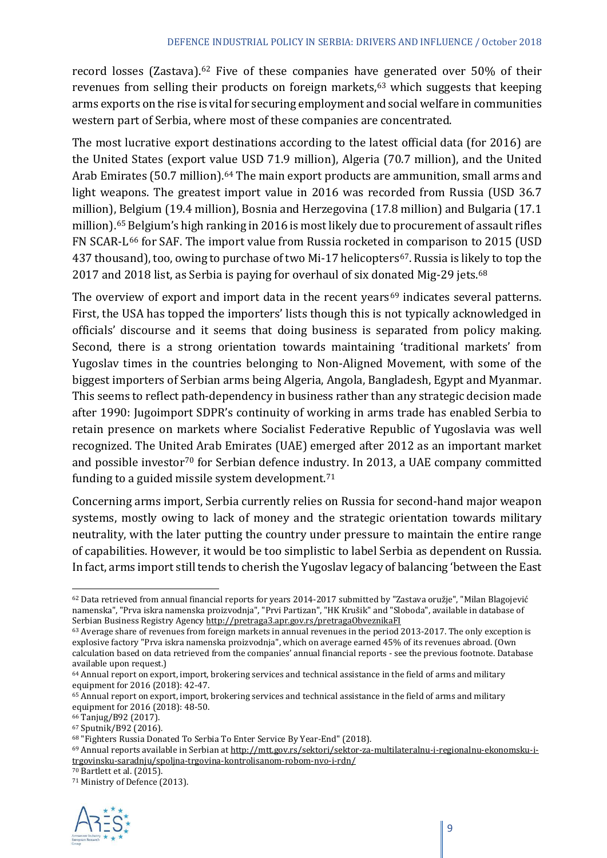record losses (Zastava).[62](#page-8-0) Five of these companies have generated over 50% of their revenues from selling their products on foreign markets, $63$  which suggests that keeping arms exports on the rise is vital for securing employment and social welfare in communities western part of Serbia, where most of these companies are concentrated.

The most lucrative export destinations according to the latest official data (for 2016) are the United States (export value USD 71.9 million), Algeria (70.7 million), and the United Arab Emirates (50.7 million).<sup>[64](#page-8-2)</sup> The main export products are ammunition, small arms and light weapons. The greatest import value in 2016 was recorded from Russia (USD 36.7 million), Belgium (19.4 million), Bosnia and Herzegovina (17.8 million) and Bulgaria (17.1 million).[65](#page-8-3) Belgium's high ranking in 2016 is most likely due to procurement of assault rifles FN SCAR-L[66](#page-8-4) for SAF. The import value from Russia rocketed in comparison to 2015 (USD 437 thousand), too, owing to purchase of two Mi-17 helicopters<sup>[67](#page-8-5)</sup>. Russia is likely to top the 2017 and 2018 list, as Serbia is paying for overhaul of six donated Mig-29 jets.<sup>[68](#page-8-6)</sup>

The overview of export and import data in the recent vears<sup>[69](#page-8-7)</sup> indicates several patterns. First, the USA has topped the importers' lists though this is not typically acknowledged in officials' discourse and it seems that doing business is separated from policy making. Second, there is a strong orientation towards maintaining ʻtraditional markets' from Yugoslav times in the countries belonging to Non-Aligned Movement, with some of the biggest importers of Serbian arms being Algeria, Angola, Bangladesh, Egypt and Myanmar. This seems to reflect path-dependency in business rather than any strategic decision made after 1990: Jugoimport SDPR's continuity of working in arms trade has enabled Serbia to retain presence on markets where Socialist Federative Republic of Yugoslavia was well recognized. The United Arab Emirates (UAE) emerged after 2012 as an important market and possible investor<sup>[70](#page-8-8)</sup> for Serbian defence industry. In 2013, a UAE company committed funding to a guided missile system development. $71$ 

Concerning arms import, Serbia currently relies on Russia for second-hand major weapon systems, mostly owing to lack of money and the strategic orientation towards military neutrality, with the later putting the country under pressure to maintain the entire range of capabilities. However, it would be too simplistic to label Serbia as dependent on Russia. In fact, arms import still tends to cherish the Yugoslav legacy of balancing ʻbetween the East

<span id="page-8-9"></span><span id="page-8-8"></span><sup>71</sup> Ministry of Defence (2013).



<span id="page-8-0"></span> <sup>62</sup> Data retrieved from annual financial reports for years 2014-2017 submitted by "Zastava oružje", "Milan Blagojević namenska", "Prva iskra namenska proizvodnja", "Prvi Partizan", "HK Krušik" and "Sloboda", available in database of Serbian Business Registry Agenc[y http://pretraga3.apr.gov.rs/pretragaObveznikaFI](http://pretraga3.apr.gov.rs/pretragaObveznikaFI)

<span id="page-8-1"></span><sup>63</sup> Average share of revenues from foreign markets in annual revenues in the period 2013-2017. The only exception is explosive factory "Prva iskra namenska proizvodnja", which on average earned 45% of its revenues abroad. (Own calculation based on data retrieved from the companies' annual financial reports - see the previous footnote. Database available upon request.)

<span id="page-8-2"></span><sup>&</sup>lt;sup>64</sup> Annual report on export, import, brokering services and technical assistance in the field of arms and military equipment for 2016 (2018): 42-47.

<span id="page-8-3"></span><sup>65</sup> Annual report on export, import, brokering services and technical assistance in the field of arms and military equipment for 2016 (2018): 48-50.

<span id="page-8-4"></span><sup>66</sup> Tanjug/B92 (2017).

<span id="page-8-5"></span><sup>67</sup> Sputnik/B92 (2016).

<sup>68</sup> "Fighters Russia Donated To Serbia To Enter Service By Year-End" (2018).

<span id="page-8-7"></span><span id="page-8-6"></span><sup>69</sup> Annual reports available in Serbian a[t http://mtt.gov.rs/sektori/sektor-za-multilateralnu-i-regionalnu-ekonomsku-i](http://mtt.gov.rs/sektori/sektor-za-multilateralnu-i-regionalnu-ekonomsku-i-trgovinsku-saradnju/spoljna-trgovina-kontrolisanom-robom-nvo-i-rdn/)[trgovinsku-saradnju/spoljna-trgovina-kontrolisanom-robom-nvo-i-rdn/](http://mtt.gov.rs/sektori/sektor-za-multilateralnu-i-regionalnu-ekonomsku-i-trgovinsku-saradnju/spoljna-trgovina-kontrolisanom-robom-nvo-i-rdn/)

<sup>70</sup> Bartlett et al. (2015).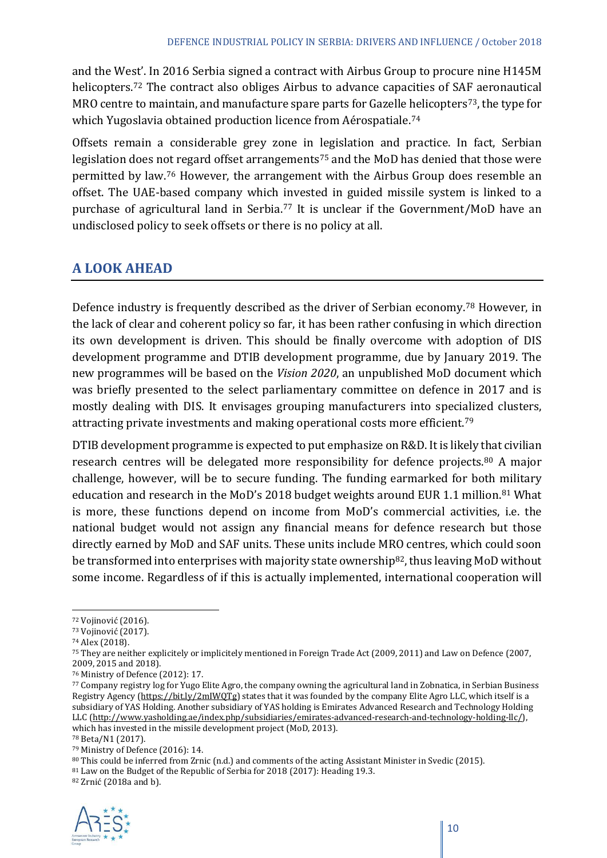and the West'. In 2016 Serbia signed a contract with Airbus Group to procure nine H145M helicopters.<sup>[72](#page-9-0)</sup> The contract also obliges Airbus to advance capacities of SAF aeronautical MRO centre to maintain, and manufacture spare parts for Gazelle helicopters<sup>73</sup>, the type for which Yugoslavia obtained production licence from Aérospatiale.<sup>[74](#page-9-2)</sup>

Offsets remain a considerable grey zone in legislation and practice. In fact, Serbian legislation does not regard offset arrangements<sup>[75](#page-9-3)</sup> and the MoD has denied that those were permitted by law.[76](#page-9-4) However, the arrangement with the Airbus Group does resemble an offset. The UAE-based company which invested in guided missile system is linked to a purchase of agricultural land in Serbia.<sup>[77](#page-9-5)</sup> It is unclear if the Government/MoD have an undisclosed policy to seek offsets or there is no policy at all.

# **A LOOK AHEAD**

Defence industry is frequently described as the driver of Serbian economy.[78](#page-9-6) However, in the lack of clear and coherent policy so far, it has been rather confusing in which direction its own development is driven. This should be finally overcome with adoption of DIS development programme and DTIB development programme, due by January 2019. The new programmes will be based on the *Vision 2020*, an unpublished MoD document which was briefly presented to the select parliamentary committee on defence in 2017 and is mostly dealing with DIS. It envisages grouping manufacturers into specialized clusters, attracting private investments and making operational costs more efficient.<sup>[79](#page-9-7)</sup>

DTIB development programme is expected to put emphasize on R&D. It is likely that civilian research centres will be delegated more responsibility for defence projects.<sup>[80](#page-9-8)</sup> A major challenge, however, will be to secure funding. The funding earmarked for both military education and research in the MoD's 2018 budget weights around EUR 1.1 million.<sup>[81](#page-9-9)</sup> What is more, these functions depend on income from MoD's commercial activities, i.e. the national budget would not assign any financial means for defence research but those directly earned by MoD and SAF units. These units include MRO centres, which could soon be transformed into enterprises with majority state ownership<sup>[82](#page-9-10)</sup>, thus leaving MoD without some income. Regardless of if this is actually implemented, international cooperation will

<sup>81</sup> Law on the Budget of the Republic of Serbia for 2018 (2017): Heading 19.3.

<span id="page-9-10"></span><span id="page-9-9"></span><span id="page-9-8"></span><sup>82</sup> Zrnić (2018a and b).



<span id="page-9-0"></span> <sup>72</sup> Vojinović (2016).

<span id="page-9-1"></span><sup>73</sup> Vojinović (2017).

<span id="page-9-2"></span><sup>74</sup> Alex (2018).

<span id="page-9-3"></span><sup>75</sup> They are neither explicitely or implicitely mentioned in Foreign Trade Act (2009, 2011) and Law on Defence (2007, 2009, 2015 and 2018).

<sup>76</sup> Ministry of Defence (2012): 17.

<span id="page-9-5"></span><span id="page-9-4"></span><sup>77</sup> Company registry log for Yugo Elite Agro, the company owning the agricultural land in Zobnatica, in Serbian Business Registry Agency [\(https://bit.ly/2mIWQTg\)](https://bit.ly/2mIWQTg) states that it was founded by the company Elite Agro LLC, which itself is a subsidiary of YAS Holding. Another subsidiary of YAS holding is Emirates Advanced Research and Technology Holding LLC [\(http://www.yasholding.ae/index.php/subsidiaries/emirates-advanced-research-and-technology-holding-llc/\)](http://www.yasholding.ae/index.php/subsidiaries/emirates-advanced-research-and-technology-holding-llc/), which has invested in the missile development project (MoD, 2013).

<span id="page-9-6"></span><sup>78</sup> Beta/N1 (2017).

<span id="page-9-7"></span><sup>79</sup> Ministry of Defence (2016): 14.

<sup>80</sup> This could be inferred from Zrnic (n.d.) and comments of the acting Assistant Minister in Svedic (2015).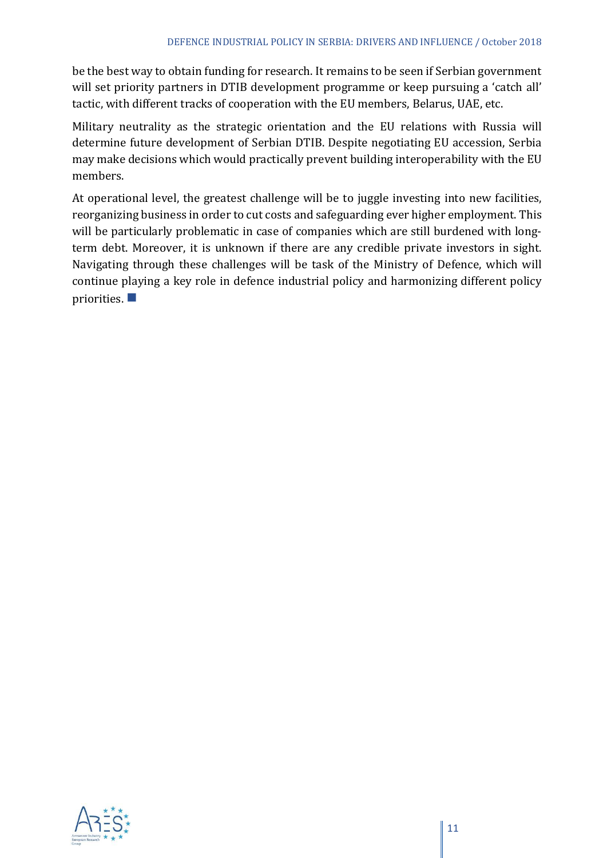be the best way to obtain funding for research. It remains to be seen if Serbian government will set priority partners in DTIB development programme or keep pursuing a ʻcatch all' tactic, with different tracks of cooperation with the EU members, Belarus, UAE, etc.

Military neutrality as the strategic orientation and the EU relations with Russia will determine future development of Serbian DTIB. Despite negotiating EU accession, Serbia may make decisions which would practically prevent building interoperability with the EU members.

At operational level, the greatest challenge will be to juggle investing into new facilities, reorganizing business in order to cut costs and safeguarding ever higher employment. This will be particularly problematic in case of companies which are still burdened with longterm debt. Moreover, it is unknown if there are any credible private investors in sight. Navigating through these challenges will be task of the Ministry of Defence, which will continue playing a key role in defence industrial policy and harmonizing different policy priorities.  $\blacksquare$ 

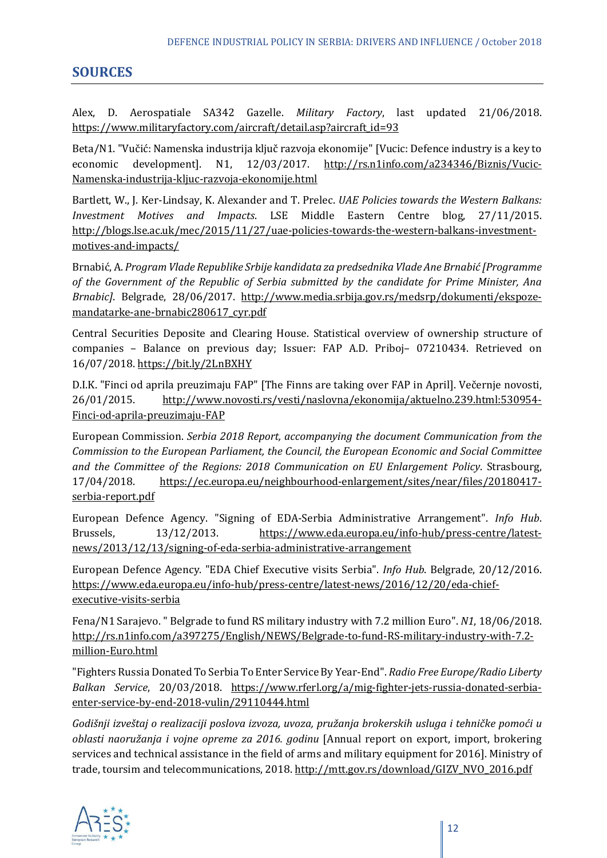# **SOURCES**

Alex, D. Aerospatiale SA342 Gazelle. *Military Factory*, last updated 21/06/2018. [https://www.militaryfactory.com/aircraft/detail.asp?aircraft\\_id=93](https://www.militaryfactory.com/aircraft/detail.asp?aircraft_id=93)

Beta/N1. "Vučić: Namenska industrija ključ razvoja ekonomije" [Vucic: Defence industry is a key to<br>economic development]. N1, 12/03/2017. <u>http://rs.n1info.com/a234346/Biznis/Vucic-</u> economic development]. N1, 12/03/2017. [http://rs.n1info.com/a234346/Biznis/Vucic-](http://rs.n1info.com/a234346/Biznis/Vucic-Namenska-industrija-kljuc-razvoja-ekonomije.html)[Namenska-industrija-kljuc-razvoja-ekonomije.html](http://rs.n1info.com/a234346/Biznis/Vucic-Namenska-industrija-kljuc-razvoja-ekonomije.html)

Bartlett, W., J. Ker-Lindsay, K. Alexander and T. Prelec. *UAE Policies towards the Western Balkans: Investment Motives and Impacts*. LSE Middle Eastern Centre blog, 27/11/2015. [http://blogs.lse.ac.uk/mec/2015/11/27/uae-policies-towards-the-western-balkans-investment](http://blogs.lse.ac.uk/mec/2015/11/27/uae-policies-towards-the-western-balkans-investment-motives-and-impacts/)[motives-and-impacts/](http://blogs.lse.ac.uk/mec/2015/11/27/uae-policies-towards-the-western-balkans-investment-motives-and-impacts/)

Brnabić, A. *Program Vlade Republike Srbije kandidata za predsednika Vlade Ane Brnabić [Programme of the Government of the Republic of Serbia submitted by the candidate for Prime Minister, Ana Brnabic]*. Belgrade, 28/06/2017. [http://www.media.srbija.gov.rs/medsrp/dokumenti/ekspoze](http://www.media.srbija.gov.rs/medsrp/dokumenti/ekspoze-mandatarke-ane-brnabic280617_cyr.pdf)[mandatarke-ane-brnabic280617\\_cyr.pdf](http://www.media.srbija.gov.rs/medsrp/dokumenti/ekspoze-mandatarke-ane-brnabic280617_cyr.pdf)

Central Securities Deposite and Clearing House. Statistical overview of ownership structure of companies – Balance on previous day; Issuer: FAP A.D. Priboj– 07210434. Retrieved on 16/07/2018.<https://bit.ly/2LnBXHY>

D.I.K. "Finci od aprila preuzimaju FAP" [The Finns are taking over FAP in April]. Večernje novosti, 26/01/2015. [http://www.novosti.rs/vesti/naslovna/ekonomija/aktuelno.239.html:530954-](http://www.novosti.rs/vesti/naslovna/ekonomija/aktuelno.239.html:530954-Finci-od-aprila-preuzimaju-FAP) [Finci-od-aprila-preuzimaju-FAP](http://www.novosti.rs/vesti/naslovna/ekonomija/aktuelno.239.html:530954-Finci-od-aprila-preuzimaju-FAP)

European Commission. *Serbia 2018 Report, accompanying the document Communication from the Commission to the European Parliament, the Council, the European Economic and Social Committee and the Committee of the Regions: 2018 Communication on EU Enlargement Policy*. Strasbourg, 17/04/2018. [https://ec.europa.eu/neighbourhood-enlargement/sites/near/files/20180417](https://ec.europa.eu/neighbourhood-enlargement/sites/near/files/20180417-serbia-report.pdf) [serbia-report.pdf](https://ec.europa.eu/neighbourhood-enlargement/sites/near/files/20180417-serbia-report.pdf) 

European Defence Agency. "Signing of EDA-Serbia Administrative Arrangement". *Info Hub*. Brussels, 13/12/2013. [https://www.eda.europa.eu/info-hub/press-centre/latest](https://www.eda.europa.eu/info-hub/press-centre/latest-news/2013/12/13/signing-of-eda-serbia-administrative-arrangement)[news/2013/12/13/signing-of-eda-serbia-administrative-arrangement](https://www.eda.europa.eu/info-hub/press-centre/latest-news/2013/12/13/signing-of-eda-serbia-administrative-arrangement)

European Defence Agency. "EDA Chief Executive visits Serbia". *Info Hub*. Belgrade, 20/12/2016. [https://www.eda.europa.eu/info-hub/press-centre/latest-news/2016/12/20/eda-chief](https://www.eda.europa.eu/info-hub/press-centre/latest-news/2016/12/20/eda-chief-executive-visits-serbia)[executive-visits-serbia](https://www.eda.europa.eu/info-hub/press-centre/latest-news/2016/12/20/eda-chief-executive-visits-serbia)

Fena/N1 Sarajevo. " Belgrade to fund RS military industry with 7.2 million Euro". *N1*, 18/06/2018. [http://rs.n1info.com/a397275/English/NEWS/Belgrade-to-fund-RS-military-industry-with-7.2](http://rs.n1info.com/a397275/English/NEWS/Belgrade-to-fund-RS-military-industry-with-7.2-million-Euro.html) [million-Euro.html](http://rs.n1info.com/a397275/English/NEWS/Belgrade-to-fund-RS-military-industry-with-7.2-million-Euro.html)

"Fighters Russia Donated To Serbia To Enter Service By Year-End". *Radio Free Europe/Radio Liberty Balkan Service*, 20/03/2018. [https://www.rferl.org/a/mig-fighter-jets-russia-donated-serbia](https://www.rferl.org/a/mig-fighter-jets-russia-donated-serbia-enter-service-by-end-2018-vulin/29110444.html)[enter-service-by-end-2018-vulin/29110444.html](https://www.rferl.org/a/mig-fighter-jets-russia-donated-serbia-enter-service-by-end-2018-vulin/29110444.html)

*Godišnji izveštaj o realizaciji poslova izvoza, uvoza, pružanja brokerskih usluga i tehničke pomoći u oblasti naoružanja i vojne opreme za 2016. godinu* [Annual report on export, import, brokering services and technical assistance in the field of arms and military equipment for 2016]. Ministry of trade, toursim and telecommunications, 2018[. http://mtt.gov.rs/download/GIZV\\_NVO\\_2016.pdf](http://mtt.gov.rs/download/GIZV_NVO_2016.pdf)

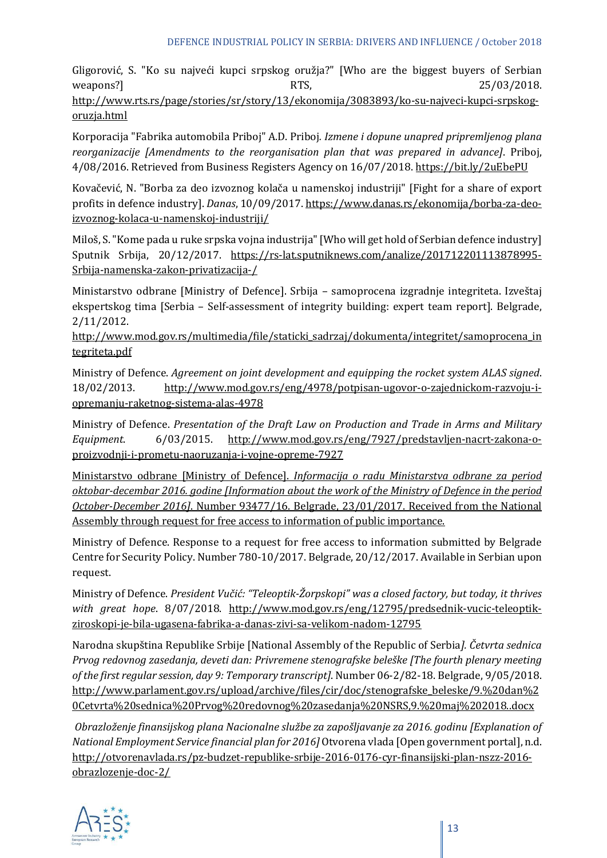Gligorović, S. "Ko su najveći kupci srpskog oružja?" [Who are the biggest buyers of Serbian  $W\text{e}$ apons?]  $R1$ S,  $25/03/2018$ . [http://www.rts.rs/page/stories/sr/story/13/ekonomija/3083893/ko-su-najveci-kupci-srpskog](http://www.rts.rs/page/stories/sr/story/13/ekonomija/3083893/ko-su-najveci-kupci-srpskog-oruzja.html)[oruzja.html](http://www.rts.rs/page/stories/sr/story/13/ekonomija/3083893/ko-su-najveci-kupci-srpskog-oruzja.html)

Korporacija "Fabrika automobila Priboj" A.D. Priboj*. Izmene i dopune unapred pripremljenog plana reorganizacije [Amendments to the reorganisation plan that was prepared in advance]*. Priboj, 4/08/2016. Retrieved from Business Registers Agency on 16/07/2018. https://bit.ly/2uEbePU

Kovačević, N. "Borba za deo izvoznog kolača u namenskoj industriji" [Fight for a share of export profits in defence industry]. *Danas*, 10/09/2017. [https://www.danas.rs/ekonomija/borba-za-deo](https://www.danas.rs/ekonomija/borba-za-deo-izvoznog-kolaca-u-namenskoj-industriji/)[izvoznog-kolaca-u-namenskoj-industriji/](https://www.danas.rs/ekonomija/borba-za-deo-izvoznog-kolaca-u-namenskoj-industriji/)

Miloš, S. "Kome pada u ruke srpska vojna industrija" [Who will get hold of Serbian defence industry] Sputnik Srbija, 20/12/2017. [https://rs-lat.sputniknews.com/analize/201712201113878995-](https://rs-lat.sputniknews.com/analize/201712201113878995-Srbija-namenska-zakon-privatizacija-/) [Srbija-namenska-zakon-privatizacija-/](https://rs-lat.sputniknews.com/analize/201712201113878995-Srbija-namenska-zakon-privatizacija-/)

Ministarstvo odbrane [Ministry of Defence]. Srbija – samoprocena izgradnje integriteta. Izveštaj ekspertskog tima [Serbia – Self-assessment of integrity building: expert team report]. Belgrade, 2/11/2012.

[http://www.mod.gov.rs/multimedia/file/staticki\\_sadrzaj/dokumenta/integritet/samoprocena\\_in](http://www.mod.gov.rs/multimedia/file/staticki_sadrzaj/dokumenta/integritet/samoprocena_integriteta.pdf) [tegriteta.pdf](http://www.mod.gov.rs/multimedia/file/staticki_sadrzaj/dokumenta/integritet/samoprocena_integriteta.pdf)

Ministry of Defence. *Agreement on joint development and equipping the rocket system ALAS signed*. 18/02/2013. [http://www.mod.gov.rs/eng/4978/potpisan-ugovor-o-zajednickom-razvoju-i](http://www.mod.gov.rs/eng/4978/potpisan-ugovor-o-zajednickom-razvoju-i-opremanju-raketnog-sistema-alas-4978)[opremanju-raketnog-sistema-alas-4978](http://www.mod.gov.rs/eng/4978/potpisan-ugovor-o-zajednickom-razvoju-i-opremanju-raketnog-sistema-alas-4978)

Ministry of Defence. *Presentation of the Draft Law on Production and Trade in Arms and Military Equipment*. 6/03/2015. [http://www.mod.gov.rs/eng/7927/predstavljen-nacrt-zakona-o](http://www.mod.gov.rs/eng/7927/predstavljen-nacrt-zakona-o-proizvodnji-i-prometu-naoruzanja-i-vojne-opreme-7927)[proizvodnji-i-prometu-naoruzanja-i-vojne-opreme-7927](http://www.mod.gov.rs/eng/7927/predstavljen-nacrt-zakona-o-proizvodnji-i-prometu-naoruzanja-i-vojne-opreme-7927)

Ministarstvo odbrane [Ministry of Defence]. *Informacija o radu Ministarstva odbrane za period oktobar-decembar 2016. godine [Information about the work of the Ministry of Defence in the period October-December 2016]*. Number 93477/16. Belgrade, 23/01/2017. Received from the National Assembly through request for free access to information of public importance.

Ministry of Defence. Response to a request for free access to information submitted by Belgrade Centre for Security Policy. Number 780-10/2017. Belgrade, 20/12/2017. Available in Serbian upon request.

Ministry of Defence. *President Vučić: "Teleoptik-Žorpskopi" was a closed factory, but today, it thrives with great hope*. 8/07/2018. [http://www.mod.gov.rs/eng/12795/predsednik-vucic-teleoptik](http://www.mod.gov.rs/eng/12795/predsednik-vucic-teleoptik-ziroskopi-je-bila-ugasena-fabrika-a-danas-zivi-sa-velikom-nadom-12795)[ziroskopi-je-bila-ugasena-fabrika-a-danas-zivi-sa-velikom-nadom-12795](http://www.mod.gov.rs/eng/12795/predsednik-vucic-teleoptik-ziroskopi-je-bila-ugasena-fabrika-a-danas-zivi-sa-velikom-nadom-12795)

Narodna skupština Republike Srbije [National Assembly of the Republic of Serbia*]. Četvrta sednica Prvog redovnog zasedanja, deveti dan: Privremene stenografske beleške [The fourth plenary meeting of the first regular session, day 9: Temporary transcript]*. Number 06-2/82-18. Belgrade, 9/05/2018. [http://www.parlament.gov.rs/upload/archive/files/cir/doc/stenografske\\_beleske/9.%20dan%2](http://www.parlament.gov.rs/upload/archive/files/cir/doc/stenografske_beleske/9.%20dan%20Cetvrta%20sednica%20Prvog%20redovnog%20zasedanja%20NSRS,9.%20maj%202018..docx) [0Cetvrta%20sednica%20Prvog%20redovnog%20zasedanja%20NSRS,9.%20maj%202018..docx](http://www.parlament.gov.rs/upload/archive/files/cir/doc/stenografske_beleske/9.%20dan%20Cetvrta%20sednica%20Prvog%20redovnog%20zasedanja%20NSRS,9.%20maj%202018..docx)

*Obrazloženje finansijskog plana Nacionalne službe za zapošljavanje za 2016. godinu [Explanation of National Employment Service financial plan for 2016]* Otvorena vlada [Open government portal], n.d. [http://otvorenavlada.rs/pz-budzet-republike-srbije-2016-0176-cyr-finansijski-plan-nszz-2016](http://otvorenavlada.rs/pz-budzet-republike-srbije-2016-0176-cyr-finansijski-plan-nszz-2016-obrazlozenje-doc-2/) [obrazlozenje-doc-2/](http://otvorenavlada.rs/pz-budzet-republike-srbije-2016-0176-cyr-finansijski-plan-nszz-2016-obrazlozenje-doc-2/)

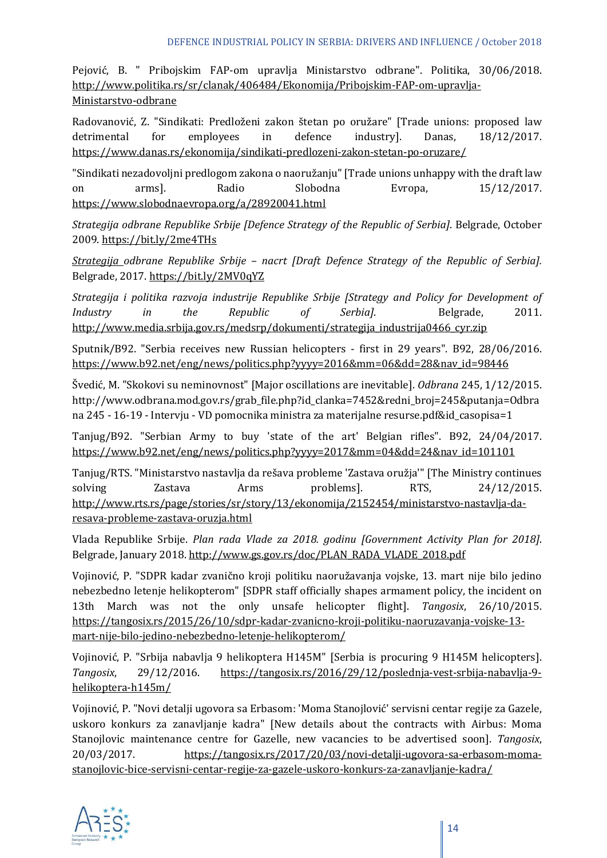Pejović, B. " Pribojskim FAP-om upravlja Ministarstvo odbrane". Politika, 30/06/2018. [http://www.politika.rs/sr/clanak/406484/Ekonomija/Pribojskim-FAP-om-upravlja-](http://www.politika.rs/sr/clanak/406484/Ekonomija/Pribojskim-FAP-om-upravlja-Ministarstvo-odbrane)[Ministarstvo-odbrane](http://www.politika.rs/sr/clanak/406484/Ekonomija/Pribojskim-FAP-om-upravlja-Ministarstvo-odbrane)

Radovanović, Z. "Sindikati: Predloženi zakon štetan po oružare" [Trade unions: proposed law detrimental for employees in defence industry]. Danas, 18/12/2017. <https://www.danas.rs/ekonomija/sindikati-predlozeni-zakon-stetan-po-oruzare/>

"Sindikati nezadovoljni predlogom zakona o naoružanju" [Trade unions unhappy with the draft law on arms]. Radio Slobodna Evropa, 15/12/2017. <https://www.slobodnaevropa.org/a/28920041.html>

*Strategija odbrane Republike Srbije [Defence Strategy of the Republic of Serbia]*. Belgrade, October 2009.<https://bit.ly/2me4THs>

*Strategija odbrane Republike Srbije – nacrt [Draft Defence Strategy of the Republic of Serbia].*  Belgrade, 2017[. https://bit.ly/2MV0qYZ](https://bit.ly/2MV0qYZ)

*Strategija i politika razvoja industrije Republike Srbije [Strategy and Policy for Development of Industry in the Republic of Serbia]*. Belgrade, 2011. [http://www.media.srbija.gov.rs/medsrp/dokumenti/strategija\\_industrija0466\\_cyr.zip](http://www.media.srbija.gov.rs/medsrp/dokumenti/strategija_industrija0466_cyr.zip)

Sputnik/B92. "Serbia receives new Russian helicopters - first in 29 years". B92, 28/06/2016. [https://www.b92.net/eng/news/politics.php?yyyy=2016&mm=06&dd=28&nav\\_id=98446](https://www.b92.net/eng/news/politics.php?yyyy=2016&mm=06&dd=28&nav_id=98446)

Švedić, M. "Skokovi su neminovnost" [Major oscillations are inevitable]. *Odbrana* 245, 1/12/2015. http://www.odbrana.mod.gov.rs/grab\_file.php?id\_clanka=7452&redni\_broj=245&putanja=Odbra na 245 - 16-19 - Intervju - VD pomocnika ministra za materijalne resurse.pdf&id\_casopisa=1

Tanjug/B92. "Serbian Army to buy 'state of the art' Belgian rifles". B92, 24/04/2017. [https://www.b92.net/eng/news/politics.php?yyyy=2017&mm=04&dd=24&nav\\_id=101101](https://www.b92.net/eng/news/politics.php?yyyy=2017&mm=04&dd=24&nav_id=101101)

Tanjug/RTS. "Ministarstvo nastavlja da rešava probleme 'Zastava oružja'" [The Ministry continues solving Zastava Arms problems]. RTS, 24/12/2015. [http://www.rts.rs/page/stories/sr/story/13/ekonomija/2152454/ministarstvo-nastavlja-da](http://www.rts.rs/page/stories/sr/story/13/ekonomija/2152454/ministarstvo-nastavlja-da-resava-probleme-zastava-oruzja.html)[resava-probleme-zastava-oruzja.html](http://www.rts.rs/page/stories/sr/story/13/ekonomija/2152454/ministarstvo-nastavlja-da-resava-probleme-zastava-oruzja.html)

Vlada Republike Srbije. *Plan rada Vlade za 2018. godinu [Government Activity Plan for 2018]*. Belgrade, January 2018[. http://www.gs.gov.rs/doc/PLAN\\_RADA\\_VLADE\\_2018.pdf](http://www.gs.gov.rs/doc/PLAN_RADA_VLADE_2018.pdf)

Vojinović, P. "SDPR kadar zvanično kroji politiku naoružavanja vojske, 13. mart nije bilo jedino nebezbedno letenje helikopterom" [SDPR staff officially shapes armament policy, the incident on 13th March was not the only unsafe helicopter flight]. *Tangosix*, 26/10/2015. [https://tangosix.rs/2015/26/10/sdpr-kadar-zvanicno-kroji-politiku-naoruzavanja-vojske-13](https://tangosix.rs/2015/26/10/sdpr-kadar-zvanicno-kroji-politiku-naoruzavanja-vojske-13-mart-nije-bilo-jedino-nebezbedno-letenje-helikopterom/) [mart-nije-bilo-jedino-nebezbedno-letenje-helikopterom/](https://tangosix.rs/2015/26/10/sdpr-kadar-zvanicno-kroji-politiku-naoruzavanja-vojske-13-mart-nije-bilo-jedino-nebezbedno-letenje-helikopterom/)

Vojinović, P. "Srbija nabavlja 9 helikoptera H145M" [Serbia is procuring 9 H145M helicopters]. *Tangosix*, 29/12/2016. [https://tangosix.rs/2016/29/12/poslednja-vest-srbija-nabavlja-9](https://tangosix.rs/2016/29/12/poslednja-vest-srbija-nabavlja-9-helikoptera-h145m/) [helikoptera-h145m/](https://tangosix.rs/2016/29/12/poslednja-vest-srbija-nabavlja-9-helikoptera-h145m/)

Vojinović, P. "Novi detalji ugovora sa Erbasom: 'Moma Stanojlović' servisni centar regije za Gazele, uskoro konkurs za zanavljanje kadra" [New details about the contracts with Airbus: Moma Stanojlovic maintenance centre for Gazelle, new vacancies to be advertised soon]. *Tangosix*, 20/03/2017. [https://tangosix.rs/2017/20/03/novi-detalji-ugovora-sa-erbasom-moma](https://tangosix.rs/2017/20/03/novi-detalji-ugovora-sa-erbasom-moma-stanojlovic-bice-servisni-centar-regije-za-gazele-uskoro-konkurs-za-zanavljanje-kadra/)[stanojlovic-bice-servisni-centar-regije-za-gazele-uskoro-konkurs-za-zanavljanje-kadra/](https://tangosix.rs/2017/20/03/novi-detalji-ugovora-sa-erbasom-moma-stanojlovic-bice-servisni-centar-regije-za-gazele-uskoro-konkurs-za-zanavljanje-kadra/)

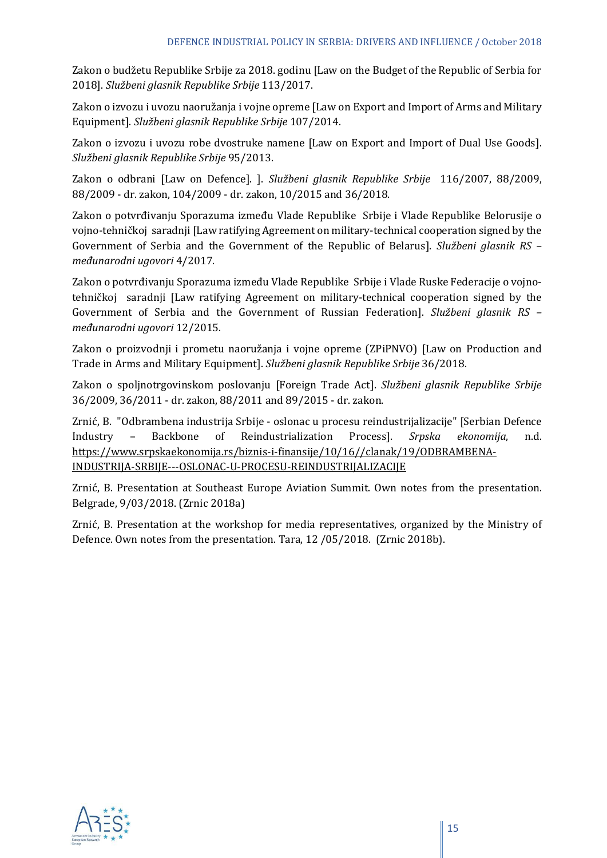Zakon o budžetu Republike Srbije za 2018. godinu [Law on the Budget of the Republic of Serbia for 2018]. *Službeni glasnik Republike Srbije* 113/2017.

Zakon o izvozu i uvozu naoružanja i vojne opreme [Law on Export and Import of Arms and Military Equipment]. *Službeni glasnik Republike Srbije* 107/2014.

Zakon o izvozu i uvozu robe dvostruke namene [Law on Export and Import of Dual Use Goods]. *Službeni glasnik Republike Srbije* 95/2013.

Zakon o odbrani [Law on Defence]. ]. *Službeni glasnik Republike Srbije* 116/2007, 88/2009, 88/2009 - dr. zakon, 104/2009 - dr. zakon, 10/2015 and 36/2018.

Zakon o potvrđivanju Sporazuma između Vlade Republike Srbije i Vlade Republike Belorusije o vojno-tehničkoj saradnji [Law ratifying Agreement on military-technical cooperation signed by the Government of Serbia and the Government of the Republic of Belarus]. *Službeni glasnik RS – međunarodni ugovori* 4/2017.

Zakon o potvrđivanju Sporazuma između Vlade Republike Srbije i Vlade Ruske Federacije o vojnotehničkoj saradnji [Law ratifying Agreement on military-technical cooperation signed by the Government of Serbia and the Government of Russian Federation]. *Službeni glasnik RS – međunarodni ugovori* 12/2015.

Zakon o proizvodnji i prometu naoružanja i vojne opreme (ZPiPNVO) [Law on Production and Trade in Arms and Military Equipment]. *Službeni glasnik Republike Srbije* 36/2018.

Zakon o spoljnotrgovinskom poslovanju [Foreign Trade Act]. *Službeni glasnik Republike Srbije* 36/2009, 36/2011 - dr. zakon, 88/2011 and 89/2015 - dr. zakon.

Zrnić, B. "Odbrambena industrija Srbije - oslonac u procesu reindustrijalizacije" [Serbian Defence Industry – Backbone of Reindustrialization Process]. *Srpska ekonomija*, n.d. [https://www.srpskaekonomija.rs/biznis-i-finansije/10/16//clanak/19/ODBRAMBENA-](https://www.srpskaekonomija.rs/biznis-i-finansije/10/16/clanak/19/ODBRAMBENA-INDUSTRIJA-SRBIJE---OSLONAC-U-PROCESU-REINDUSTRIJALIZACIJE)[INDUSTRIJA-SRBIJE---OSLONAC-U-PROCESU-REINDUSTRIJALIZACIJE](https://www.srpskaekonomija.rs/biznis-i-finansije/10/16/clanak/19/ODBRAMBENA-INDUSTRIJA-SRBIJE---OSLONAC-U-PROCESU-REINDUSTRIJALIZACIJE)

Zrnić, B. Presentation at Southeast Europe Aviation Summit. Own notes from the presentation. Belgrade, 9/03/2018. (Zrnic 2018a)

Zrnić, B. Presentation at the workshop for media representatives, organized by the Ministry of Defence. Own notes from the presentation. Tara, 12 /05/2018. (Zrnic 2018b).